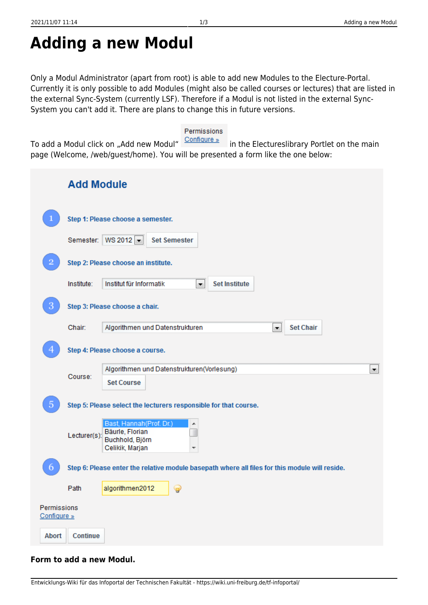**Form to add a new Modul.**

## **Adding a new Modul**

Only a Modul Administrator (apart from root) is able to add new Modules to the Electure-Portal. Currently it is only possible to add Modules (might also be called courses or lectures) that are listed in the external Sync-System (currently LSF). Therefore if a Modul is not listed in the external Sync-System you can't add it. There are plans to change this in future versions.

To add a Modul click on "Add new Modul" Configure » in the Electureslibrary Portlet on the main page (Welcome, /web/guest/home). You will be presented a form like the one below:

|                            | <b>Add Module</b>                                                                              |                                                                                             |  |  |  |  |  |  |  |
|----------------------------|------------------------------------------------------------------------------------------------|---------------------------------------------------------------------------------------------|--|--|--|--|--|--|--|
|                            | Step 1: Please choose a semester.                                                              |                                                                                             |  |  |  |  |  |  |  |
|                            |                                                                                                | Semester: WS 2012 $\blacktriangleright$<br><b>Set Semester</b>                              |  |  |  |  |  |  |  |
|                            | Step 2: Please choose an institute.                                                            |                                                                                             |  |  |  |  |  |  |  |
|                            | Institute:                                                                                     | Institut für Informatik<br><b>Set Institute</b><br>×.                                       |  |  |  |  |  |  |  |
| З                          | Step 3: Please choose a chair.                                                                 |                                                                                             |  |  |  |  |  |  |  |
|                            | Chair:                                                                                         | <b>Set Chair</b><br>Algorithmen und Datenstrukturen<br>$\blacktriangledown$                 |  |  |  |  |  |  |  |
|                            | Step 4: Please choose a course.                                                                |                                                                                             |  |  |  |  |  |  |  |
|                            | Course:                                                                                        | Algorithmen und Datenstrukturen(Vorlesung)<br>×<br><b>Set Course</b>                        |  |  |  |  |  |  |  |
| 5                          | Step 5: Please select the lecturers responsible for that course.                               |                                                                                             |  |  |  |  |  |  |  |
|                            | Lecturer(s):                                                                                   | Bast, Hannah (Prof. Dr.)<br>▲<br>Bäurle, Florian<br>Buchhold, Björn<br>Celikik, Marjan<br>▼ |  |  |  |  |  |  |  |
| o                          | Step 6: Please enter the relative module basepath where all files for this module will reside. |                                                                                             |  |  |  |  |  |  |  |
|                            | Path                                                                                           | algorithmen2012<br>Ŧ                                                                        |  |  |  |  |  |  |  |
| Permissions<br>Configure » |                                                                                                |                                                                                             |  |  |  |  |  |  |  |
| Abort                      | <b>Continue</b>                                                                                |                                                                                             |  |  |  |  |  |  |  |

## Permissions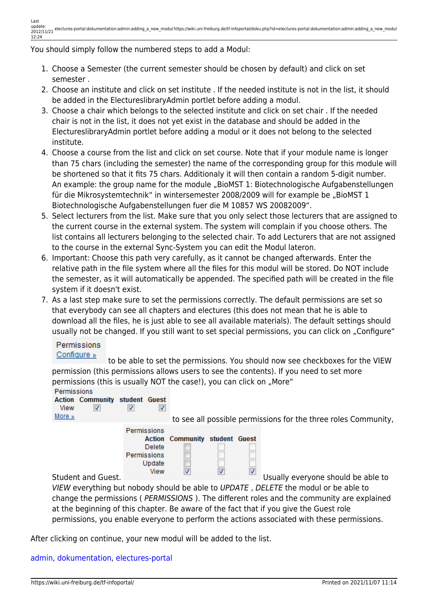You should simply follow the numbered steps to add a Modul:

- 1. Choose a Semester (the current semester should be chosen by default) and click on set semester .
- 2. Choose an institute and click on set institute . If the needed institute is not in the list, it should be added in the ElectureslibraryAdmin portlet before adding a modul.
- 3. Choose a chair which belongs to the selected institute and click on set chair . If the needed chair is not in the list, it does not yet exist in the database and should be added in the ElectureslibraryAdmin portlet before adding a modul or it does not belong to the selected institute.
- 4. Choose a course from the list and click on set course. Note that if your module name is longer than 75 chars (including the semester) the name of the corresponding group for this module will be shortened so that it fits 75 chars. Additionaly it will then contain a random 5-digit number. An example: the group name for the module "BioMST 1: Biotechnologische Aufgabenstellungen für die Mikrosystemtechnik" in wintersemester 2008/2009 will for example be "BioMST 1 Biotechnologische Aufgabenstellungen fuer die M 10857 WS 20082009".
- 5. Select lecturers from the list. Make sure that you only select those lecturers that are assigned to the current course in the external system. The system will complain if you choose others. The list contains all lecturers belonging to the selected chair. To add Lecturers that are not assigned to the course in the external Sync-System you can edit the Modul lateron.
- 6. Important: Choose this path very carefully, as it cannot be changed afterwards. Enter the relative path in the file system where all the files for this modul will be stored. Do NOT include the semester, as it will automatically be appended. The specified path will be created in the file system if it doesn't exist.
- 7. As a last step make sure to set the permissions correctly. The default permissions are set so that everybody can see all chapters and electures (this does not mean that he is able to download all the files, he is just able to see all available materials). The default settings should usually not be changed. If you still want to set special permissions, you can click on "Configure"

## Permissions Configure »

 to be able to set the permissions. You should now see checkboxes for the VIEW permission (this permissions allows users to see the contents). If you need to set more permissions (this is usually NOT the case!), you can click on "More"

| <b>Permissions</b><br><b>Action Community student Guest</b><br>View<br>More $\infty$ |                                      |                                                         |   |   | to see all possible permissions for the three roles Community,                                                                                                                                                                                                             |
|--------------------------------------------------------------------------------------|--------------------------------------|---------------------------------------------------------|---|---|----------------------------------------------------------------------------------------------------------------------------------------------------------------------------------------------------------------------------------------------------------------------------|
| Student and Guest.                                                                   | Permissions<br>Permissions<br>Update | <b>Action Community student Guest</b><br>Delete<br>View | v | ⊽ | Usually everyone should be able to                                                                                                                                                                                                                                         |
|                                                                                      |                                      |                                                         |   |   | VIEW everything but nobody should be able to UPDATE, DELETE the modul or be able to<br>change the permissions (PERMISSIONS). The different roles and the community are explained<br>at the beginning of this chapter. Be aware of the fact that if you give the Guest role |

permissions, you enable everyone to perform the actions associated with these permissions.

After clicking on continue, your new modul will be added to the list.

## [admin,](https://wiki.uni-freiburg.de/tf-infoportal/doku.php?id=tag:admin) [dokumentation](https://wiki.uni-freiburg.de/tf-infoportal/doku.php?id=tag:dokumentation), [electures-portal](https://wiki.uni-freiburg.de/tf-infoportal/doku.php?id=tag:electures-portal)